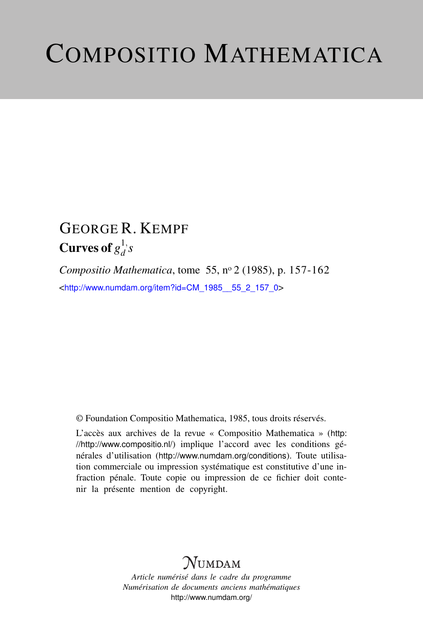# COMPOSITIO MATHEMATICA

### GEORGE R. KEMPF Curves of  $g_d^{1,1}$  $\frac{1}{d}$ , *s*

*Compositio Mathematica*, tome 55, n<sup>o</sup> 2 (1985), p. 157-162 <[http://www.numdam.org/item?id=CM\\_1985\\_\\_55\\_2\\_157\\_0](http://www.numdam.org/item?id=CM_1985__55_2_157_0)>

© Foundation Compositio Mathematica, 1985, tous droits réservés.

L'accès aux archives de la revue « Compositio Mathematica » ([http:](http://http://www.compositio.nl/) [//http://www.compositio.nl/](http://http://www.compositio.nl/)) implique l'accord avec les conditions générales d'utilisation (<http://www.numdam.org/conditions>). Toute utilisation commerciale ou impression systématique est constitutive d'une infraction pénale. Toute copie ou impression de ce fichier doit contenir la présente mention de copyright.

## **NUMDAM**

*Article numérisé dans le cadre du programme Numérisation de documents anciens mathématiques* <http://www.numdam.org/>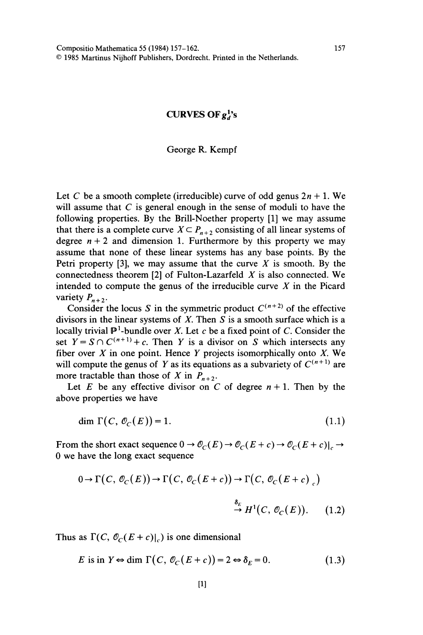#### CURVES OF  $g^{1}_{d}$ 's

#### George R. Kempf

Let C be a smooth complete (irreducible) curve of odd genus  $2n + 1$ . We will assume that  $C$  is general enough in the sense of moduli to have the following properties. By the Brill-Noether property [1] we may assume that there is a complete curve  $X \subseteq P_{n+2}$  consisting of all linear systems of degree  $n + 2$  and dimension 1. Furthermore by this property we may assume that none of these linear systems has any base points. By the Petri property [3], we may assume that the curve  $X$  is smooth. By the connectedness theorem [2] of Fulton-Lazarfeld  $X$  is also connected. We intended to compute the genus of the irreducible curve  $X$  in the Picard variety  $P_{n+2}$ .

Consider the locus S in the symmetric product  $C^{(n+2)}$  of the effective divisors in the linear systems of  $X$ . Then  $S$  is a smooth surface which is a locally trivial  $\mathbb{P}^1$ -bundle over X. Let c be a fixed point of C. Consider the set  $Y = S \cap C^{(n+1)} + c$ . Then Y is a divisor on S which intersects any fiber over  $X$  in one point. Hence  $Y$  projects isomorphically onto  $X$ . We will compute the genus of Y as its equations as a subvariety of  $C^{(n+1)}$  are more tractable than those of X in  $P_{n+2}$ .

Let E be any effective divisor on C of degree  $n + 1$ . Then by the above properties we have

$$
\dim \Gamma(C, \mathcal{O}_C(E)) = 1. \tag{1.1}
$$

From the short exact sequence  $0 \to \mathcal{O}_C(E) \to \mathcal{O}_C(E + c) \to \mathcal{O}_C(E + c)|_c \to$ 0 we have the long exact sequence

$$
0 \to \Gamma(C, \mathcal{O}_C(E)) \to \Gamma(C, \mathcal{O}_C(E+c)) \to \Gamma(C, \mathcal{O}_C(E+c))
$$
  

$$
\xrightarrow{\delta_E} H^1(C, \mathcal{O}_C(E)). \tag{1.2}
$$

Thus as  $\Gamma(C, \mathcal{O}_C(E + c)|_c)$  is one dimensional

E is in  $Y \Leftrightarrow \text{dim }\Gamma(C, \mathcal{O}_C(E+c)) = 2 \Leftrightarrow \delta_E = 0.$  $(1.3)$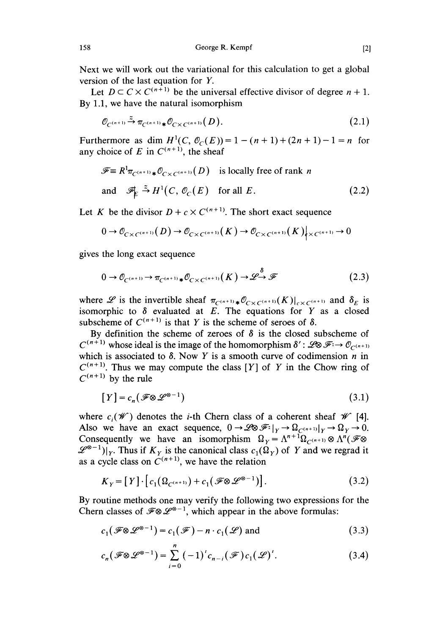Next we will work out the variational for this calculation to get a global version of the last equation for Y.

Let  $D \subset C \times C^{(n+1)}$  be the universal effective divisor of degree  $n + 1$ . By 1.1, we have the natural isomorphism

$$
\mathcal{O}_{C^{(n+1)}} \xrightarrow{\tilde{\sim}} \pi_{C^{(n+1)}\ast} \mathcal{O}_{C \times C^{(n+1)}}(D). \tag{2.1}
$$

Furthermore as dim  $H^1(C, \mathcal{O}_C(E)) = 1 - (n + 1) + (2n + 1) - 1 = n$  for any choice of E in  $C^{(n+1)}$ , the sheaf

$$
\mathcal{F} \equiv R^1 \pi_{C^{(n+1)} *} \mathcal{O}_{C \times C^{(n+1)}}(D) \text{ is locally free of rank } n
$$
  
and 
$$
\mathcal{F}_{\mathbb{E}} \stackrel{\simeq}{\to} H^1(C, \mathcal{O}_C(E) \text{ for all } E. \tag{2.2}
$$

Let K be the divisor  $D + c \times C^{(n+1)}$ . The short exact sequence

$$
0 \to \mathcal{O}_{C \times C^{(n+1)}}(D) \to \mathcal{O}_{C \times C^{(n+1)}}(K) \to \mathcal{O}_{C \times C^{(n+1)}}(K)|_{X \times C^{(n+1)}} \to 0
$$

gives the long exact sequence

$$
0 \to \mathcal{O}_{C^{(n+1)}} \to \pi_{C^{(n+1)}\ast} \mathcal{O}_{C \times C^{(n+1)}}(K) \to \mathcal{L}^{\delta} \mathcal{F}
$$
(2.3)

where  $\mathscr L$  is the invertible sheaf  $\pi_{C^{(n+1)}\ast}\mathscr O_{C\times C^{(n+1)}}(K)|_{c\times C^{(n+1)}}$  and  $\delta_E$  is isomorphic to  $\delta$  evaluated at E. The equations for Y as a closed subscheme of  $C^{(n+1)}$  is that Y is the scheme of seroes of  $\delta$ .

By definition the scheme of zeroes of  $\delta$  is the closed subscheme of  $C^{(n+1)}$  whose ideal is the image of the homomorphism  $\delta'$ :  $\mathscr{L} \otimes \mathscr{F} \rightarrow \mathscr{O}_{C^{(n+1)}}$ which is associated to  $\delta$ . Now Y is a smooth curve of codimension n in  $C^{(n+1)}$ . Thus we may compute the class [Y] of Y in the Chow ring of  $C^{(n+1)}$  by the rule

$$
[Y] = c_n(\mathcal{F} \otimes \mathcal{L}^{\otimes -1})
$$
\n(3.1)

where  $c_i(\mathcal{W})$  denotes the *i*-th Chern class of a coherent sheaf  $\mathcal{W}$  [4]. Also we have an exact sequence,  $0 \to \mathscr{L} \mathscr{B} \mathscr{F}^{\lambda}|_Y \to \Omega_{C^{(n+1)}}|_Y \to \Omega_Y \to 0.$ Consequently we have an isomorphism  $\Omega_Y = \Lambda^{n+1} \Omega_{C^{(n+1)}} \otimes \Lambda^n (\mathcal{F} \otimes$  $\mathscr{L}^{\otimes -1})|_Y$ . Thus if  $K_Y$  is the canonical class  $c_1(\Omega_Y)$  of Y and we regrad it as a cycle class on  $C^{(n+1)}$ , we have the relation

$$
K_Y = [Y] \cdot [c_1(\Omega_{C^{(n+1)}}) + c_1(\mathscr{F} \otimes \mathscr{L}^{\otimes -1})]. \tag{3.2}
$$

By routine methods one may verify the following two expressions for the Chern classes of  $\mathcal{F}\otimes \mathcal{L}^{\otimes -1}$ , which appear in the above formulas:

$$
c_1(\mathcal{F}\otimes\mathcal{L}^{\otimes -1}) = c_1(\mathcal{F}) - n \cdot c_1(\mathcal{L}) \text{ and } (3.3)
$$

$$
c_n(\mathcal{F}\otimes\mathcal{L}^{\otimes -1}) = \sum_{i=0}^n (-1)^i c_{n-i}(\mathcal{F}) c_1(\mathcal{L})'.
$$
 (3.4)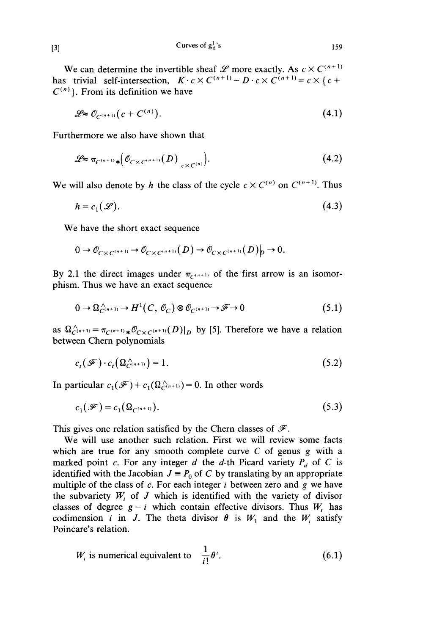Curves of  $g_d^1$ 's

We can determine the invertible sheaf  $\mathscr L$  more exactly. As  $c \times C^{(n+1)}$ has trivial self-intersection,  $K \cdot c \times C^{(n+1)} \sim D \cdot c \times C^{(n+1)} = c \times \{c + C\}$  $C^{(n)}$ . From its definition we have

$$
\mathcal{L} \approx \mathcal{O}_{C^{(n+1)}}(c + C^{(n)}). \tag{4.1}
$$

Furthermore we also have shown that

$$
\mathscr{L} \approx \pi_{C^{(n+1)}\ast} \Big(\mathcal{O}_{C\times C^{(n+1)}}(D)\Big|_{C\times C^{(n)}}\Big). \tag{4.2}
$$

We will also denote by h the class of the cycle  $c \times C^{(n)}$  on  $C^{(n+1)}$ . Thus

$$
h = c_1(\mathcal{L}).\tag{4.3}
$$

We have the short exact sequence

$$
0 \to \mathcal{O}_{C \times C^{(n+1)}} \to \mathcal{O}_{C \times C^{(n+1)}}(D) \to \mathcal{O}_{C \times C^{(n+1)}}(D)_p \to 0.
$$

By 2.1 the direct images under  $\pi_{C^{(n+1)}}$  of the first arrow is an isomorphism. Thus we have an exact sequence

$$
0 \to \Omega_{C^{(n+1)}}^{\wedge} \to H^1(C, \mathcal{O}_C) \otimes \mathcal{O}_{C^{(n+1)}} \to \mathcal{F} \to 0 \tag{5.1}
$$

as  $\Omega_{C^{(n+1)}}^{\wedge} = \pi_{C^{(n+1)}} \ast \mathcal{O}_{C \times C^{(n+1)}}(D)|_{D}$  by [5]. Therefore we have a relation between Chern polynomials

$$
c_t(\mathcal{F}) \cdot c_t(\Omega_{C^{(n+1)}}^{\wedge}) = 1. \tag{5.2}
$$

In particular  $c_1(\mathcal{F}) + c_1(\Omega_{C^{(n+1)}}^{\wedge}) = 0$ . In other words

$$
c_1(\mathcal{F}) = c_1(\Omega_{C^{(n+1)}}). \tag{5.3}
$$

This gives one relation satisfied by the Chern classes of  $\mathscr{F}$ .

We will use another such relation. First we will review some facts which are true for any smooth complete curve  $C$  of genus  $g$  with a marked point c. For any integer d the d-th Picard variety  $P_d$  of C is identified with the Jacobian  $J = P_0$  of C by translating by an appropriate multiple of the class of  $c$ . For each integer  $i$  between zero and  $g$  we have the subvariety  $W_i$  of J which is identified with the variety of divisor classes of degree  $g - i$  which contain effective divisors. Thus  $W_i$ , has codimension *i* in *J*. The theta divisor  $\theta$  is  $W_1$  and the  $W_1$  satisfy Poincare's relation.

$$
W_i
$$
 is numerical equivalent to  $\frac{1}{i!} \theta^i$ . (6.1)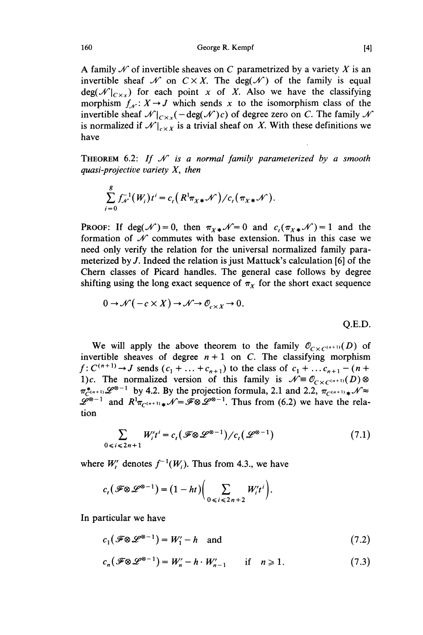George R. Kempf

A family  $\mathcal N$  of invertible sheaves on C parametrized by a variety X is an invertible sheaf  $\mathcal N$  on  $C \times X$ . The deg( $\mathcal N$ ) of the family is equal deg( $\mathcal{N}|_{C \times x}$ ) for each point x of X. Also we have the classifying morphism  $f_{\mathcal{N}}: X \to J$  which sends x to the isomorphism class of the invertible sheaf  $\mathcal{N}|_{C \times x}(-\deg(\mathcal{N})c)$  of degree zero on C. The family  $\mathcal{N}$ is normalized if  $\mathcal{N}|_{c\times X}$  is a trivial sheaf on X. With these definitions we have

THEOREM 6.2: If  $\mathcal N$  is a normal family parameterized by a smooth quasi-projective variety  $X$ , then

$$
\sum_{i=0}^g f_{\mathcal{N}}^{-1}(W_i)t^i = c_t(R^1\pi_{X*}\mathcal{N})/c_t(\pi_{X*}\mathcal{N}).
$$

**PROOF:** If deg( $\mathcal{N}$ ) = 0, then  $\pi_{X*}\mathcal{N}=0$  and  $c_t(\pi_{X*}\mathcal{N})=1$  and the formation of  $\mathcal N$  commutes with base extension. Thus in this case we need only verify the relation for the universal normalized family parameterized by J. Indeed the relation is just Mattuck's calculation [6] of the Chern classes of Picard handles. The general case follows by degree shifting using the long exact sequence of  $\pi<sub>X</sub>$  for the short exact sequence

$$
0 \to \mathcal{N}(-c \times X) \to \mathcal{N} \to \mathcal{O}_{c \times X} \to 0.
$$
 Q.E.D.

We will apply the above theorem to the family  $\mathcal{O}_{C\times C^{(n+1)}}(D)$  of invertible sheaves of degree  $n + 1$  on C. The classifying morphism  $f: C^{(n+1)} \to J$  sends  $(c_1 + ... + c_{n+1})$  to the class of  $c_1 + ... + c_{n+1} - (n+n)$ 1)c. The normalized version of this family is  $\mathcal{N} \equiv \mathcal{O}_{C \times C^{(n+1)}}(D)$  $\pi_{C^{(n+1)}}^*\mathscr{L}^{\otimes -1}$  by 4.2. By the projection formula, 2.1 and 2.2,  $\pi_{C^{(n+1)}}\cdot\mathscr{N} \approx$  $\mathscr{L}^{\infty-1}$  and  $R^1\pi_{C^{(n+1)}\ast}\mathscr{N}=\mathscr{F}\otimes \mathscr{L}^{\infty-1}$ . Thus from (6.2) we have the relation

$$
\sum_{0 \le i \le 2n+1} W_i' t^i = c_t \left( \mathcal{F} \otimes \mathcal{L}^{\otimes -1} \right) / c_t \left( \mathcal{L}^{\otimes -1} \right) \tag{7.1}
$$

where  $W'_i$  denotes  $f^{-1}(W_i)$ . Thus from 4.3., we have

$$
c_t(\mathscr{F}\otimes \mathscr{L}^{\otimes -1})=(1-ht)\bigg(\sum_{0\leq i\leq 2n+2}W_i't^i\bigg).
$$

In particular we have

$$
c_1(\mathcal{F} \otimes \mathcal{L}^{\otimes -1}) = W_1' - h \quad \text{and} \tag{7.2}
$$

$$
c_n(\mathcal{F}\otimes\mathcal{L}^{\otimes -1})=W'_n-h\cdot W'_{n-1} \qquad \text{if} \quad n\geq 1. \tag{7.3}
$$

 $[4]$ 

160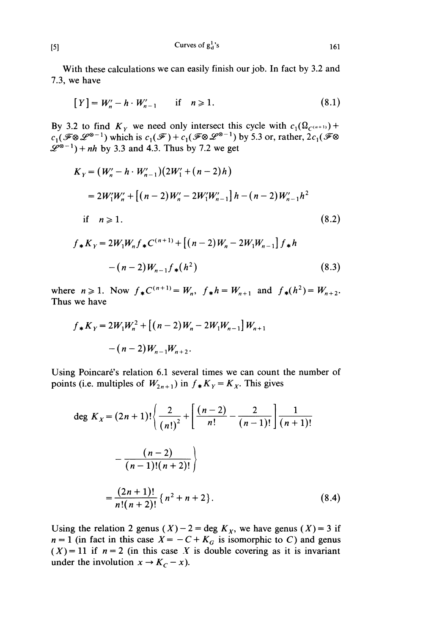Curves of  $g_d^1$ 's

With these calculations we can easily finish our job. In fact by 3.2 and 7.3, we have

$$
[Y] = W'_n - h \cdot W'_{n-1} \quad \text{if} \quad n \geqslant 1. \tag{8.1}
$$

By 3.2 to find  $K_Y$  we need only intersect this cycle with  $c_1(\Omega_{C^{(n+1)}})$  +  $c_1(\mathcal{F}\otimes \mathcal{L}^{\otimes -1})$  which is  $c_1(\mathcal{F}) + c_1(\mathcal{F}\otimes \mathcal{L}^{\otimes -1})$  by 5.3 or, rather,  $2c_1(\mathcal{F}\otimes$  $\mathscr{L}^{\infty-1}$ ) + nh by 3.3 and 4.3. Thus by 7.2 we get

$$
K_{Y} = (W'_{n} - h \cdot W'_{n-1})(2W'_{1} + (n-2)h)
$$
  
\n
$$
= 2W'_{1}W'_{n} + [(n-2)W'_{n} - 2W'_{1}W'_{n-1}]h - (n-2)W'_{n-1}h^{2}
$$
  
\nif  $n \ge 1$ .  
\n
$$
f_{*}K_{Y} = 2W_{1}W_{n}f_{*}C^{(n+1)} + [(n-2)W_{n} - 2W_{1}W_{n-1}]f_{*}h - (n-2)W_{n-1}f_{*}(h^{2})
$$
\n(8.3)

where  $n \ge 1$ . Now  $f_*C^{(n+1)} = W_n$ ,  $f_*h = W_{n+1}$  and  $f_*(h^2) = W_{n+2}$ . Thus we have

$$
f_* K_Y = 2W_1 W_n^2 + [(n-2)W_n - 2W_1 W_{n-1}] W_{n+1}
$$

$$
-(n-2)W_{n-1} W_{n+2}.
$$

Using Poincaré's relation 6.1 several times we can count the number of points (i.e. multiples of  $W_{2n+1}$ ) in  $f_*K_Y = K_X$ . This gives

$$
\deg K_{X} = (2n+1)! \left\{ \frac{2}{(n!)^{2}} + \left[ \frac{(n-2)}{n!} - \frac{2}{(n-1)!} \right] \frac{1}{(n+1)!} - \frac{(n-2)}{(n-1)!(n+2)!} \right\}
$$

$$
= \frac{(2n+1)!}{n!(n+2)!} \{ n^{2} + n + 2 \}.
$$
(8.4)

Using the relation 2 genus  $(X) - 2 = \deg K_X$ , we have genus  $(X) = 3$  if  $n = 1$  (in fact in this case  $X = -C + K_G$  is isomorphic to C) and genus  $(X) = 11$  if  $n = 2$  (in this case X is double covering as it is invariant under the involution  $x \to K_C - x$ ).

 $(8.3)$